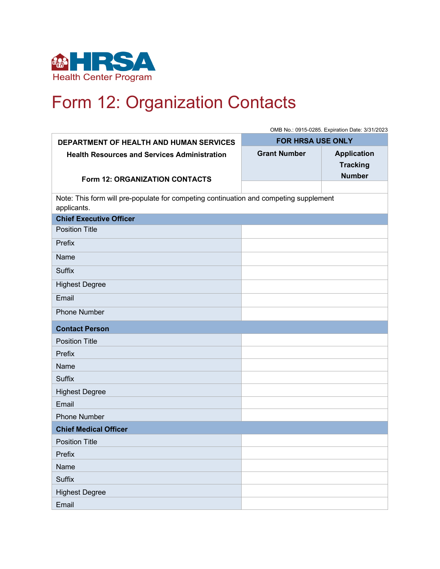

## Form 12: Organization Contacts

|                                                                                                      | OMB No.: 0915-0285. Expiration Date: 3/31/2023 |                    |  |
|------------------------------------------------------------------------------------------------------|------------------------------------------------|--------------------|--|
| DEPARTMENT OF HEALTH AND HUMAN SERVICES                                                              | <b>FOR HRSA USE ONLY</b>                       |                    |  |
| <b>Health Resources and Services Administration</b>                                                  | <b>Grant Number</b>                            | <b>Application</b> |  |
|                                                                                                      |                                                | <b>Tracking</b>    |  |
| <b>Form 12: ORGANIZATION CONTACTS</b>                                                                |                                                | <b>Number</b>      |  |
|                                                                                                      |                                                |                    |  |
| Note: This form will pre-populate for competing continuation and competing supplement<br>applicants. |                                                |                    |  |
| <b>Chief Executive Officer</b>                                                                       |                                                |                    |  |
| <b>Position Title</b>                                                                                |                                                |                    |  |
| Prefix                                                                                               |                                                |                    |  |
| Name                                                                                                 |                                                |                    |  |
| <b>Suffix</b>                                                                                        |                                                |                    |  |
| <b>Highest Degree</b>                                                                                |                                                |                    |  |
| Email                                                                                                |                                                |                    |  |
| <b>Phone Number</b>                                                                                  |                                                |                    |  |
| <b>Contact Person</b>                                                                                |                                                |                    |  |
| <b>Position Title</b>                                                                                |                                                |                    |  |
| Prefix                                                                                               |                                                |                    |  |
| Name                                                                                                 |                                                |                    |  |
| <b>Suffix</b>                                                                                        |                                                |                    |  |
| <b>Highest Degree</b>                                                                                |                                                |                    |  |
| Email                                                                                                |                                                |                    |  |
| <b>Phone Number</b>                                                                                  |                                                |                    |  |
| <b>Chief Medical Officer</b>                                                                         |                                                |                    |  |
| <b>Position Title</b>                                                                                |                                                |                    |  |
| Prefix                                                                                               |                                                |                    |  |
| Name                                                                                                 |                                                |                    |  |
| <b>Suffix</b>                                                                                        |                                                |                    |  |
| <b>Highest Degree</b>                                                                                |                                                |                    |  |
| Email                                                                                                |                                                |                    |  |